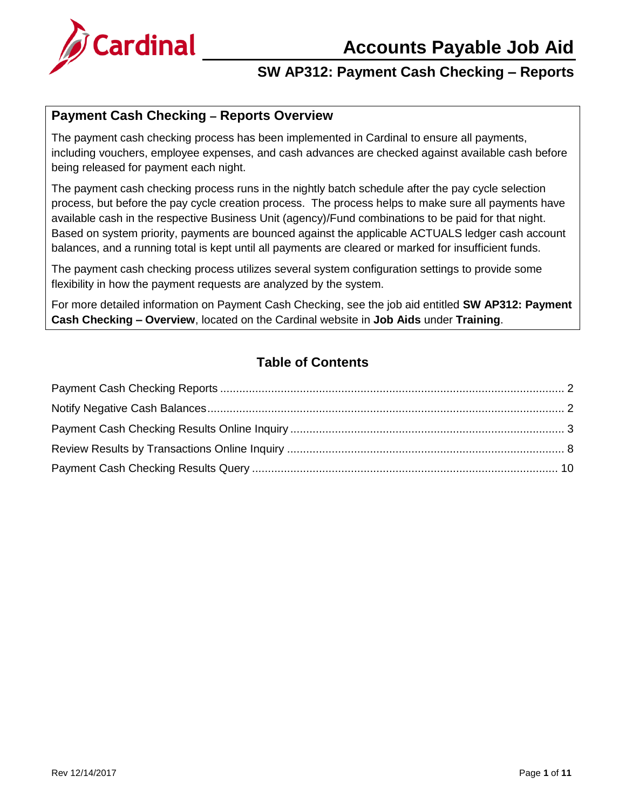# **Accounts Payable Job Aid**



# **SW AP312: Payment Cash Checking – Reports**

### **Payment Cash Checking – Reports Overview**

The payment cash checking process has been implemented in Cardinal to ensure all payments, including vouchers, employee expenses, and cash advances are checked against available cash before being released for payment each night.

The payment cash checking process runs in the nightly batch schedule after the pay cycle selection process, but before the pay cycle creation process. The process helps to make sure all payments have available cash in the respective Business Unit (agency)/Fund combinations to be paid for that night. Based on system priority, payments are bounced against the applicable ACTUALS ledger cash account balances, and a running total is kept until all payments are cleared or marked for insufficient funds.

The payment cash checking process utilizes several system configuration settings to provide some flexibility in how the payment requests are analyzed by the system.

For more detailed information on Payment Cash Checking, see the job aid entitled **SW AP312: Payment Cash Checking – Overview**, located on the Cardinal website in **Job Aids** under **Training**.

## **Table of Contents**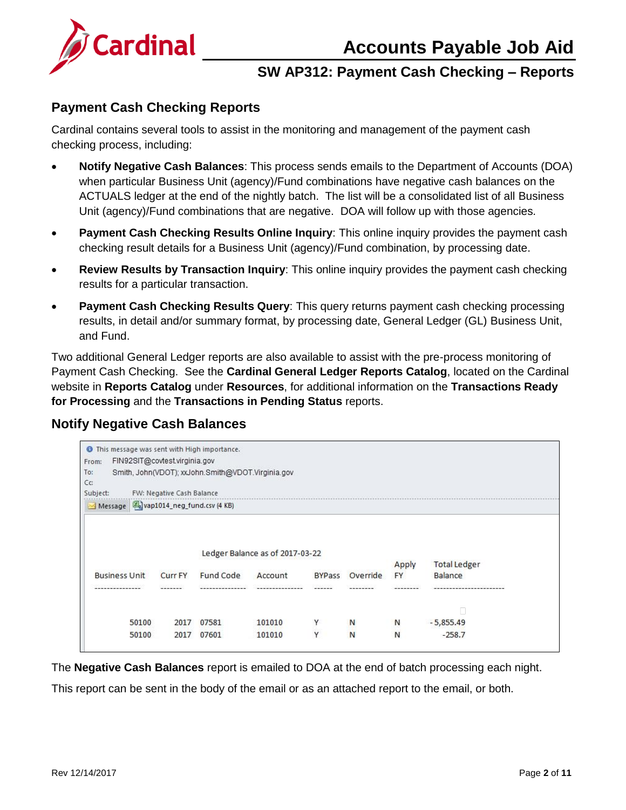# **Accounts Payable Job Aid**



# **SW AP312: Payment Cash Checking – Reports**

#### <span id="page-1-0"></span>**Payment Cash Checking Reports**

Cardinal contains several tools to assist in the monitoring and management of the payment cash checking process, including:

- **Notify Negative Cash Balances**: This process sends emails to the Department of Accounts (DOA) when particular Business Unit (agency)/Fund combinations have negative cash balances on the ACTUALS ledger at the end of the nightly batch. The list will be a consolidated list of all Business Unit (agency)/Fund combinations that are negative. DOA will follow up with those agencies.
- **Payment Cash Checking Results Online Inquiry**: This online inquiry provides the payment cash checking result details for a Business Unit (agency)/Fund combination, by processing date.
- **Review Results by Transaction Inquiry**: This online inquiry provides the payment cash checking results for a particular transaction.
- **Payment Cash Checking Results Query**: This query returns payment cash checking processing results, in detail and/or summary format, by processing date, General Ledger (GL) Business Unit, and Fund.

Two additional General Ledger reports are also available to assist with the pre-process monitoring of Payment Cash Checking. See the **Cardinal General Ledger Reports Catalog**, located on the Cardinal website in **Reports Catalog** under **Resources**, for additional information on the **Transactions Ready for Processing** and the **Transactions in Pending Status** reports.

### <span id="page-1-1"></span>**Notify Negative Cash Balances**

| From:                                 | FIN92SIT@covtest.virginia.gov |                                                   |                                 |               |          |                    |                                |
|---------------------------------------|-------------------------------|---------------------------------------------------|---------------------------------|---------------|----------|--------------------|--------------------------------|
| To:<br>Cc:                            |                               | Smith, John(VDOT); xxJohn.Smith@VDOT.Virginia.gov |                                 |               |          |                    |                                |
| Subject:                              | FW: Negative Cash Balance     |                                                   |                                 |               |          |                    |                                |
| Message 4 vap1014_neg_fund.csv (4 KB) |                               |                                                   |                                 |               |          |                    |                                |
|                                       |                               |                                                   |                                 |               |          |                    |                                |
|                                       |                               |                                                   |                                 |               |          |                    |                                |
|                                       |                               |                                                   |                                 |               |          |                    |                                |
|                                       |                               |                                                   | Ledger Balance as of 2017-03-22 |               |          |                    |                                |
| <b>Business Unit</b>                  | <b>Curr FY</b>                | Fund Code                                         | Account                         | <b>BYPass</b> | Override | Apply<br><b>FY</b> | <b>Total Ledger</b><br>Balance |
| ---------------                       | -------                       | ----------------                                  | ---------------                 | -------       | -------- |                    |                                |
| 50100                                 | 2017                          | 07581                                             | 101010                          | Y             | N        | N                  | $-5,855.49$                    |

The **Negative Cash Balances** report is emailed to DOA at the end of batch processing each night.

This report can be sent in the body of the email or as an attached report to the email, or both.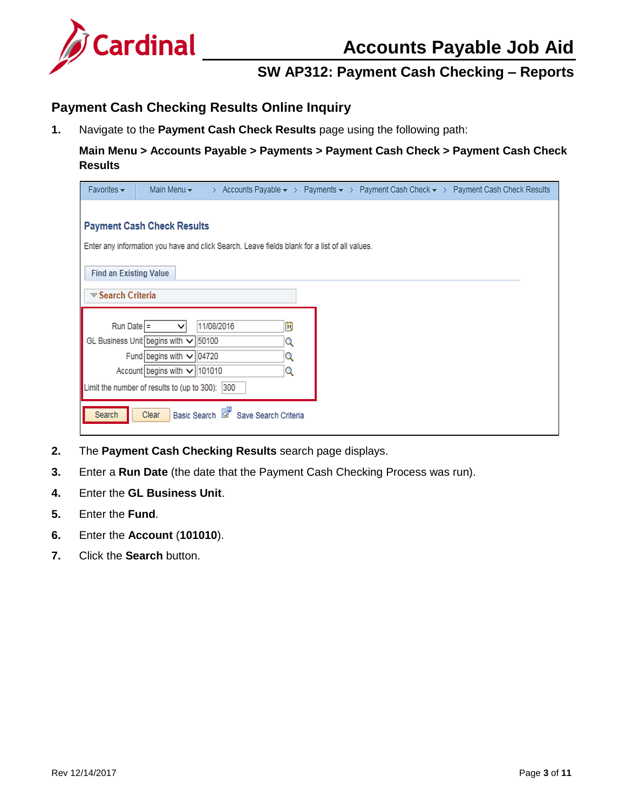

### <span id="page-2-0"></span>**Payment Cash Checking Results Online Inquiry**

**1.** Navigate to the **Payment Cash Check Results** page using the following path:

#### **Main Menu > Accounts Payable > Payments > Payment Cash Check > Payment Cash Check Results**

| Favorites $\star$<br>> Accounts Payable $\star$ > Payments $\star$ > Payment Cash Check $\star$ > Payment Cash Check Results<br>Main Menu $\star$ |
|---------------------------------------------------------------------------------------------------------------------------------------------------|
|                                                                                                                                                   |
| <b>Payment Cash Check Results</b>                                                                                                                 |
| Enter any information you have and click Search. Leave fields blank for a list of all values.                                                     |
|                                                                                                                                                   |
| <b>Find an Existing Value</b>                                                                                                                     |
| <b>▼Search Criteria</b>                                                                                                                           |
|                                                                                                                                                   |
| 閩<br>Run Date $=$<br>11/08/2016<br>v                                                                                                              |
| GL Business Unit begins with v 50100<br>Q                                                                                                         |
| Fund begins with $\sqrt{04720}$<br>Q                                                                                                              |
| Account begins with $\vee$ 101010<br>Q                                                                                                            |
| Limit the number of results to (up to 300):<br>300                                                                                                |
|                                                                                                                                                   |
| Basic Search & Save Search Criteria<br>Clear<br>Search                                                                                            |
|                                                                                                                                                   |

- **2.** The **Payment Cash Checking Results** search page displays.
- **3.** Enter a **Run Date** (the date that the Payment Cash Checking Process was run).
- **4.** Enter the **GL Business Unit**.
- **5.** Enter the **Fund**.
- **6.** Enter the **Account** (**101010**).
- **7.** Click the **Search** button.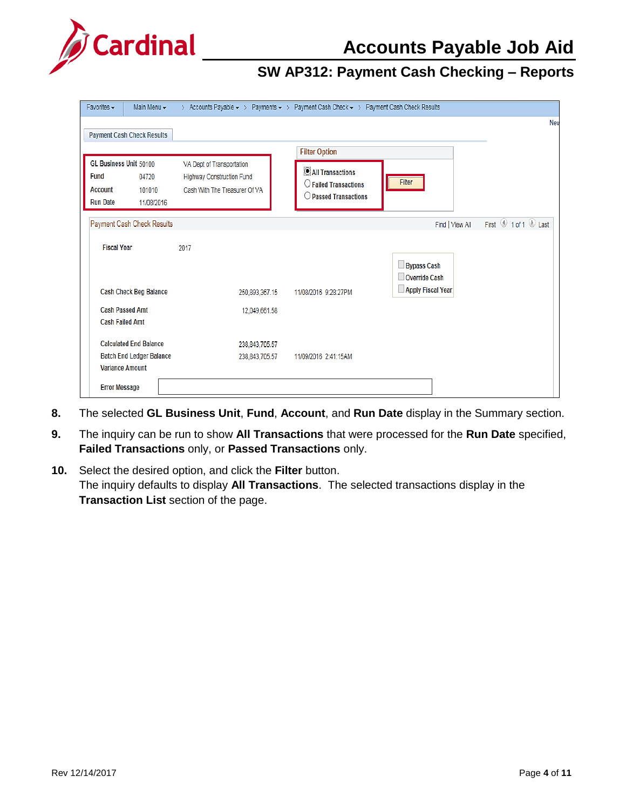

| Favorites $\star$                                                                                           | Main Menu -                                               | Y.                                                                                      | Accounts Payable $\star$ > Payments $\star$ > Payment Cash Check $\star$ > Payment Cash Check Results |                                     |                                                                                 |  |  |  |  |
|-------------------------------------------------------------------------------------------------------------|-----------------------------------------------------------|-----------------------------------------------------------------------------------------|-------------------------------------------------------------------------------------------------------|-------------------------------------|---------------------------------------------------------------------------------|--|--|--|--|
|                                                                                                             | <b>Payment Cash Check Results</b>                         |                                                                                         |                                                                                                       |                                     | Nev                                                                             |  |  |  |  |
|                                                                                                             |                                                           |                                                                                         |                                                                                                       |                                     |                                                                                 |  |  |  |  |
| GL Business Unit 50100<br><b>Fund</b><br>04720<br><b>Account</b><br>101010<br><b>Run Date</b><br>11/08/2016 |                                                           | VA Dept of Transportation<br>Highway Construction Fund<br>Cash With The Treasurer Of VA | All Transactions<br>$\bigcirc$ Failed Transactions<br>$\bigcirc$ Passed Transactions                  | <b>Filter Option</b><br>Filter      |                                                                                 |  |  |  |  |
|                                                                                                             | Payment Cash Check Results                                |                                                                                         |                                                                                                       | Find   View All                     | First $\textcircled{\scriptsize{1}}$ 1 of 1 $\textcircled{\scriptsize{1}}$ Last |  |  |  |  |
| <b>Fiscal Year</b>                                                                                          |                                                           | 2017                                                                                    |                                                                                                       | <b>Bypass Cash</b><br>Override Cash |                                                                                 |  |  |  |  |
|                                                                                                             | <b>Cash Check Beg Balance</b>                             | 250,893,367.15                                                                          | 11/08/2016 9:28:27PM                                                                                  | Apply Fiscal Year                   |                                                                                 |  |  |  |  |
| <b>Cash Failed Amt</b>                                                                                      | <b>Cash Passed Amt</b>                                    | 12,049,661.58                                                                           |                                                                                                       |                                     |                                                                                 |  |  |  |  |
|                                                                                                             | <b>Calculated End Balance</b>                             | 238,843,705.57                                                                          |                                                                                                       |                                     |                                                                                 |  |  |  |  |
|                                                                                                             | <b>Batch End Ledger Balance</b><br><b>Variance Amount</b> | 238,843,705.57                                                                          | 11/09/2016 2:41:15AM                                                                                  |                                     |                                                                                 |  |  |  |  |
| <b>Error Message</b>                                                                                        |                                                           |                                                                                         |                                                                                                       |                                     |                                                                                 |  |  |  |  |

- **8.** The selected **GL Business Unit**, **Fund**, **Account**, and **Run Date** display in the Summary section.
- **9.** The inquiry can be run to show **All Transactions** that were processed for the **Run Date** specified, **Failed Transactions** only, or **Passed Transactions** only.
- **10.** Select the desired option, and click the **Filter** button. The inquiry defaults to display **All Transactions**. The selected transactions display in the **Transaction List** section of the page.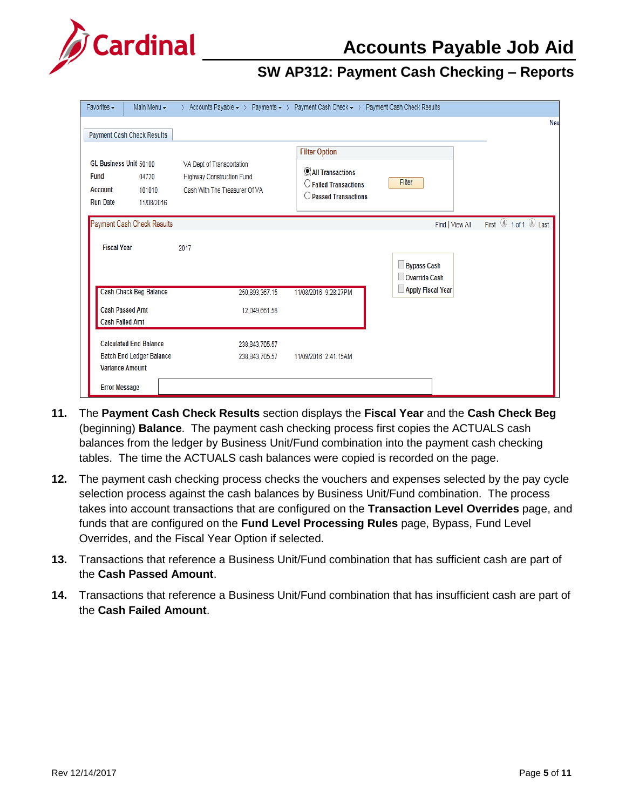

| Main Menu -<br>Favorites $\star$                                                                     | > Accounts Payable $\star$ > Payments $\star$ > Payment Cash Check $\star$ > Payment Cash Check Results |                      |                                     |                     |
|------------------------------------------------------------------------------------------------------|---------------------------------------------------------------------------------------------------------|----------------------|-------------------------------------|---------------------|
| <b>Payment Cash Check Results</b>                                                                    |                                                                                                         |                      |                                     | Nev                 |
| GL Business Unit 50100<br><b>Fund</b><br>04720<br>Account<br>101010<br><b>Run Date</b><br>11/08/2016 | VA Dept of Transportation<br>Highway Construction Fund<br>Cash With The Treasurer Of VA                 | Filter               |                                     |                     |
| Payment Cash Check Results                                                                           |                                                                                                         |                      | Find   View All                     | First 1 of 1 2 Last |
| <b>Fiscal Year</b>                                                                                   | 2017                                                                                                    |                      | <b>Bypass Cash</b><br>Override Cash |                     |
| <b>Cash Check Beg Balance</b>                                                                        | 250,893,367.15                                                                                          | 11/08/2016 9:28:27PM | Apply Fiscal Year                   |                     |
| <b>Cash Passed Amt</b><br><b>Cash Failed Amt</b>                                                     | 12,049,661.58                                                                                           |                      |                                     |                     |
| <b>Calculated End Balance</b><br><b>Batch End Ledger Balance</b><br><b>Variance Amount</b>           | 238,843,705.57<br>238,843,705.57                                                                        | 11/09/2016 2:41:15AM |                                     |                     |
| <b>Error Message</b>                                                                                 |                                                                                                         |                      |                                     |                     |

- **11.** The **Payment Cash Check Results** section displays the **Fiscal Year** and the **Cash Check Beg** (beginning) **Balance**. The payment cash checking process first copies the ACTUALS cash balances from the ledger by Business Unit/Fund combination into the payment cash checking tables. The time the ACTUALS cash balances were copied is recorded on the page.
- **12.** The payment cash checking process checks the vouchers and expenses selected by the pay cycle selection process against the cash balances by Business Unit/Fund combination. The process takes into account transactions that are configured on the **Transaction Level Overrides** page, and funds that are configured on the **Fund Level Processing Rules** page, Bypass, Fund Level Overrides, and the Fiscal Year Option if selected.
- **13.** Transactions that reference a Business Unit/Fund combination that has sufficient cash are part of the **Cash Passed Amount**.
- **14.** Transactions that reference a Business Unit/Fund combination that has insufficient cash are part of the **Cash Failed Amount**.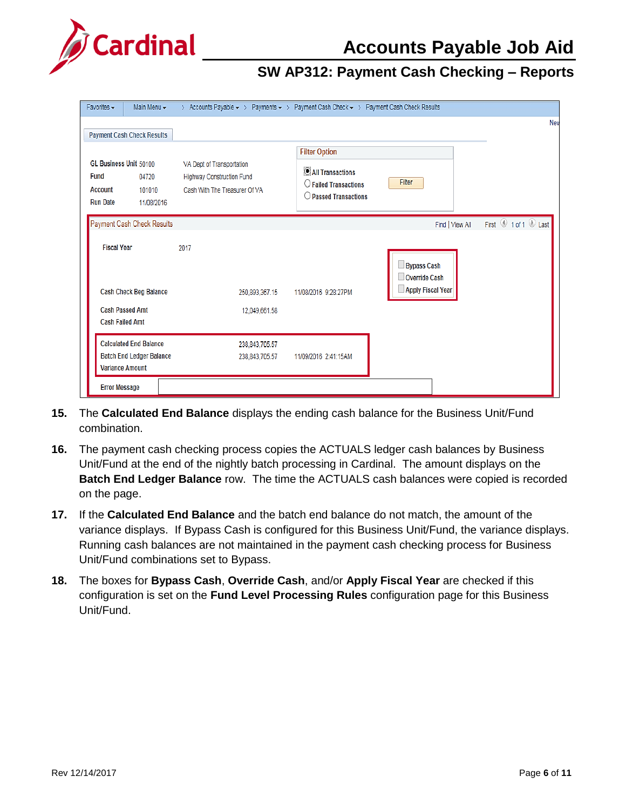

| Main Menu -<br>Favorites $\star$                                                                                   |  | > Accounts Payable $\star$ > Payments $\star$ > Payment Cash Check $\star$ > Payment Cash Check Results |                                                                                                                       |                                                                 |
|--------------------------------------------------------------------------------------------------------------------|--|---------------------------------------------------------------------------------------------------------|-----------------------------------------------------------------------------------------------------------------------|-----------------------------------------------------------------|
| <b>Payment Cash Check Results</b>                                                                                  |  |                                                                                                         |                                                                                                                       | Nev                                                             |
| GL Business Unit 50100<br><b>Fund</b><br>04720<br><b>Account</b><br>101010<br><b>Run Date</b><br>11/08/2016        |  | VA Dept of Transportation<br>Highway Construction Fund<br>Cash With The Treasurer Of VA                 | <b>Filter Option</b><br><b>O</b> All Transactions<br>$\bigcirc$ Failed Transactions<br>$\bigcirc$ Passed Transactions | Filter                                                          |
| Payment Cash Check Results                                                                                         |  |                                                                                                         |                                                                                                                       | First 4 1 of 1 2 Last<br>Find   View All                        |
| <b>Fiscal Year</b><br><b>Cash Check Beg Balance</b><br><b>Cash Passed Amt</b><br><b>Cash Failed Amt</b>            |  | 2017<br>250,893,367.15<br>12,049,661.58                                                                 | 11/08/2016 9:28:27PM                                                                                                  | <b>Bypass Cash</b><br><b>Override Cash</b><br>Apply Fiscal Year |
| <b>Calculated End Balance</b><br><b>Batch End Ledger Balance</b><br><b>Variance Amount</b><br><b>Error Message</b> |  | 238,843,705.57<br>238,843,705.57                                                                        | 11/09/2016 2:41:15AM                                                                                                  |                                                                 |

- **15.** The **Calculated End Balance** displays the ending cash balance for the Business Unit/Fund combination.
- **16.** The payment cash checking process copies the ACTUALS ledger cash balances by Business Unit/Fund at the end of the nightly batch processing in Cardinal. The amount displays on the **Batch End Ledger Balance** row. The time the ACTUALS cash balances were copied is recorded on the page.
- **17.** If the **Calculated End Balance** and the batch end balance do not match, the amount of the variance displays. If Bypass Cash is configured for this Business Unit/Fund, the variance displays. Running cash balances are not maintained in the payment cash checking process for Business Unit/Fund combinations set to Bypass.
- **18.** The boxes for **Bypass Cash**, **Override Cash**, and/or **Apply Fiscal Year** are checked if this configuration is set on the **Fund Level Processing Rules** configuration page for this Business Unit/Fund.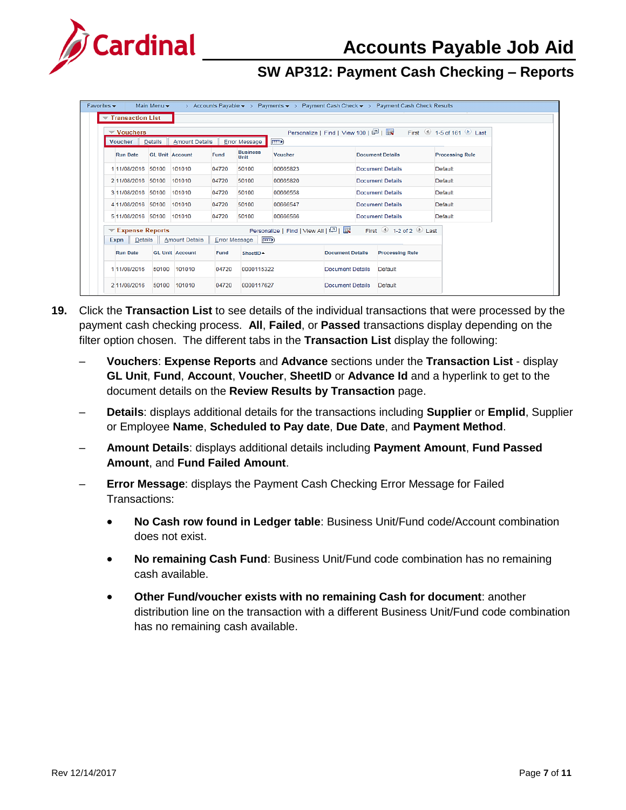

| Favorites $\star$                         | Main Menu $\star$ |                        |                         |                      |                                                           |                         |                         | > Accounts Payable $\star$ > Payments $\star$ > Payment Cash Check $\star$ > Payment Cash Check Results |         |
|-------------------------------------------|-------------------|------------------------|-------------------------|----------------------|-----------------------------------------------------------|-------------------------|-------------------------|---------------------------------------------------------------------------------------------------------|---------|
| $\blacktriangledown$ Transaction List     |                   |                        |                         |                      |                                                           |                         |                         |                                                                                                         |         |
| $\blacktriangledown$ Vouchers             |                   |                        |                         |                      |                                                           |                         |                         |                                                                                                         |         |
| <b>Voucher</b>                            | Details           | <b>Amount Details</b>  |                         | Error Message        | E(3)                                                      |                         |                         |                                                                                                         |         |
| <b>GL Unit Account</b><br><b>Run Date</b> |                   | Fund                   | <b>Business</b><br>Unit | <b>Voucher</b>       |                                                           |                         | <b>Document Details</b> | <b>Processing Rule</b>                                                                                  |         |
| 111/08/2016<br>50100<br>101010            |                   |                        | 04720                   | 50100                | 00665823                                                  |                         |                         | Document Details                                                                                        | Default |
| 2 11/08/2016 50100                        |                   | 101010                 | 04720                   | 50100                | 00665820                                                  |                         |                         | <b>Document Details</b>                                                                                 | Default |
| 3 11/08/2016 50100                        |                   | 101010                 | 04720                   | 50100                | 00666558                                                  |                         |                         | <b>Document Details</b>                                                                                 | Default |
| 4 11/08/2016 50100                        |                   | 101010                 | 04720                   | 50100                | 00666547                                                  | Document Details        |                         |                                                                                                         | Default |
| 5 11/08/2016 50100                        |                   | 101010                 | 04720                   | 50100                | 00666566                                                  | Document Details        |                         |                                                                                                         | Default |
| $\blacktriangledown$ Expense Reports      |                   |                        |                         |                      | Personalize   Find   View All   $\boxed{2}$   $\boxed{1}$ |                         |                         | First $\bigcirc$ 1-2 of 2 $\bigcirc$ Last                                                               |         |
| <b>Expn</b>   Details   Amount Details    |                   |                        | <b>Error Message</b>    | (क्ल                 |                                                           |                         |                         |                                                                                                         |         |
| <b>Run Date</b>                           |                   | <b>GL Unit Account</b> | Fund                    | SheetID <sup>A</sup> |                                                           | <b>Document Details</b> |                         | <b>Processing Rule</b>                                                                                  |         |
| 111/08/2016                               | 50100             | 101010                 | 04720                   | 0000115322           |                                                           | Document Details        |                         | Default                                                                                                 |         |
| 2 11/08/2016                              | 50100             | 101010                 | 04720                   | 0000117627           | Document Details                                          |                         | Default                 |                                                                                                         |         |

- **19.** Click the **Transaction List** to see details of the individual transactions that were processed by the payment cash checking process. **All**, **Failed**, or **Passed** transactions display depending on the filter option chosen. The different tabs in the **Transaction List** display the following:
	- ‒ **Vouchers**: **Expense Reports** and **Advance** sections under the **Transaction List** display **GL Unit**, **Fund**, **Account**, **Voucher**, **SheetID** or **Advance Id** and a hyperlink to get to the document details on the **Review Results by Transaction** page.
	- ‒ **Details**: displays additional details for the transactions including **Supplier** or **Emplid**, Supplier or Employee **Name**, **Scheduled to Pay date**, **Due Date**, and **Payment Method**.
	- ‒ **Amount Details**: displays additional details including **Payment Amount**, **Fund Passed Amount**, and **Fund Failed Amount**.
	- ‒ **Error Message**: displays the Payment Cash Checking Error Message for Failed Transactions:
		- **No Cash row found in Ledger table**: Business Unit/Fund code/Account combination does not exist.
		- **No remaining Cash Fund**: Business Unit/Fund code combination has no remaining cash available.
		- **Other Fund/voucher exists with no remaining Cash for document**: another distribution line on the transaction with a different Business Unit/Fund code combination has no remaining cash available.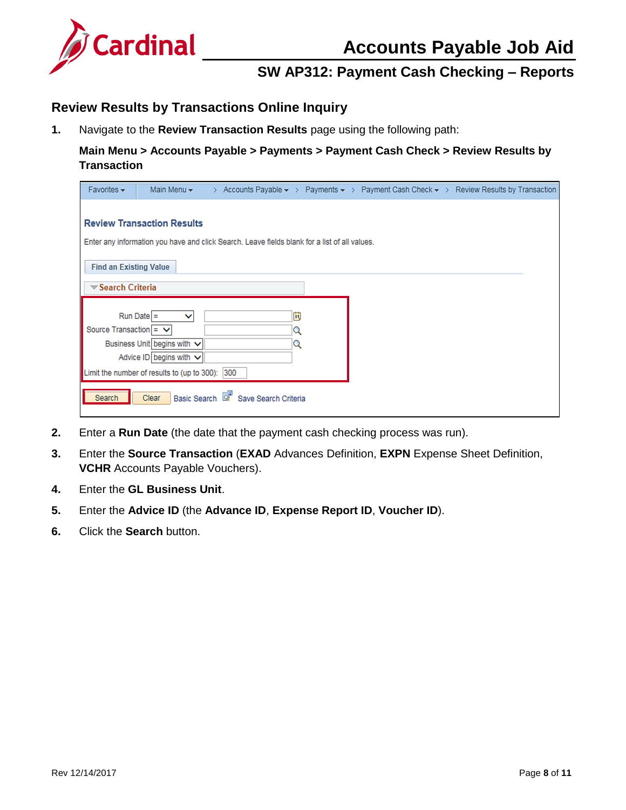

### <span id="page-7-0"></span>**Review Results by Transactions Online Inquiry**

**1.** Navigate to the **Review Transaction Results** page using the following path:

**Main Menu > Accounts Payable > Payments > Payment Cash Check > Review Results by Transaction**

| Favorites $\star$             | Main Menu $\star$                                                                                                                   |                                                                                               |             | > Accounts Payable $\star$ > Payments $\star$ > Payment Cash Check $\star$ > Review Results by Transaction |
|-------------------------------|-------------------------------------------------------------------------------------------------------------------------------------|-----------------------------------------------------------------------------------------------|-------------|------------------------------------------------------------------------------------------------------------|
|                               | <b>Review Transaction Results</b>                                                                                                   | Enter any information you have and click Search. Leave fields blank for a list of all values. |             |                                                                                                            |
| <b>Find an Existing Value</b> |                                                                                                                                     |                                                                                               |             |                                                                                                            |
| <b>▼Search Criteria</b>       |                                                                                                                                     |                                                                                               |             |                                                                                                            |
| Source Transaction = $\vee$   | $Run Date =$<br>v<br>Business Unit begins with V<br>Advice ID begins with $\vee$<br>Limit the number of results to (up to 300): 300 |                                                                                               | 間<br>Q<br>Q |                                                                                                            |
| Search                        | Clear                                                                                                                               | Basic Search <b>&amp;</b> Save Search Criteria                                                |             |                                                                                                            |

- **2.** Enter a **Run Date** (the date that the payment cash checking process was run).
- **3.** Enter the **Source Transaction** (**EXAD** Advances Definition, **EXPN** Expense Sheet Definition, **VCHR** Accounts Payable Vouchers).
- **4.** Enter the **GL Business Unit**.
- **5.** Enter the **Advice ID** (the **Advance ID**, **Expense Report ID**, **Voucher ID**).
- **6.** Click the **Search** button.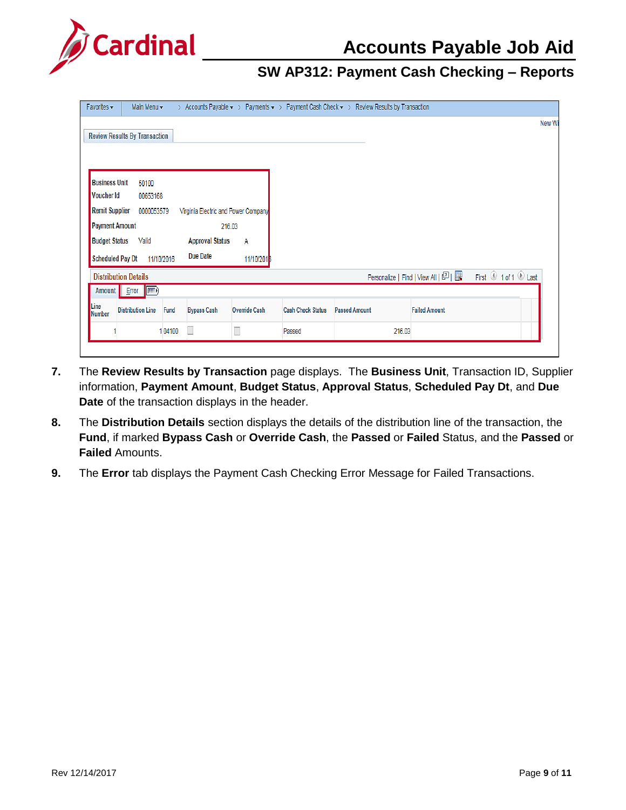

| Favorites $\star$           | Main Menu -                          |            |                                     |                      |                          | > Accounts Payable $\star$ > Payments $\star$ > Payment Cash Check $\star$ > Review Results by Transaction |                                       |                     |
|-----------------------------|--------------------------------------|------------|-------------------------------------|----------------------|--------------------------|------------------------------------------------------------------------------------------------------------|---------------------------------------|---------------------|
|                             |                                      |            |                                     |                      |                          |                                                                                                            |                                       | New Wi              |
|                             | <b>Review Results By Transaction</b> |            |                                     |                      |                          |                                                                                                            |                                       |                     |
|                             |                                      |            |                                     |                      |                          |                                                                                                            |                                       |                     |
|                             |                                      |            |                                     |                      |                          |                                                                                                            |                                       |                     |
| <b>Business Unit</b>        | 50100                                |            |                                     |                      |                          |                                                                                                            |                                       |                     |
| Voucher Id                  | 00653168                             |            |                                     |                      |                          |                                                                                                            |                                       |                     |
| <b>Remit Supplier</b>       | 0000053579                           |            | Virginia Electric and Power Company |                      |                          |                                                                                                            |                                       |                     |
| <b>Payment Amount</b>       |                                      |            | 216.03                              |                      |                          |                                                                                                            |                                       |                     |
| <b>Budget Status</b>        | Valid                                |            | <b>Approval Status</b>              | A                    |                          |                                                                                                            |                                       |                     |
| <b>Scheduled Pay Dt</b>     |                                      | 11/10/2016 | Due Date                            | 11/10/201            |                          |                                                                                                            |                                       |                     |
| <b>Distribution Details</b> |                                      |            |                                     |                      |                          |                                                                                                            | Personalize   Find   View All   2   표 | First 1 of 1 1 Last |
| Amount                      | $Error$ $F2$                         |            |                                     |                      |                          |                                                                                                            |                                       |                     |
| Line<br><b>Number</b>       | <b>Distribution Line</b>             | Fund       | <b>Bypass Cash</b>                  | <b>Override Cash</b> | <b>Cash Check Status</b> | <b>Passed Amount</b>                                                                                       | <b>Failed Amount</b>                  |                     |
|                             |                                      | 104100     | Ш                                   | $\Box$               | Passed                   | 216.03                                                                                                     |                                       |                     |
|                             |                                      |            |                                     |                      |                          |                                                                                                            |                                       |                     |

- **7.** The **Review Results by Transaction** page displays. The **Business Unit**, Transaction ID, Supplier information, **Payment Amount**, **Budget Status**, **Approval Status**, **Scheduled Pay Dt**, and **Due Date** of the transaction displays in the header.
- **8.** The **Distribution Details** section displays the details of the distribution line of the transaction, the **Fund**, if marked **Bypass Cash** or **Override Cash**, the **Passed** or **Failed** Status, and the **Passed** or **Failed** Amounts.
- **9.** The **Error** tab displays the Payment Cash Checking Error Message for Failed Transactions.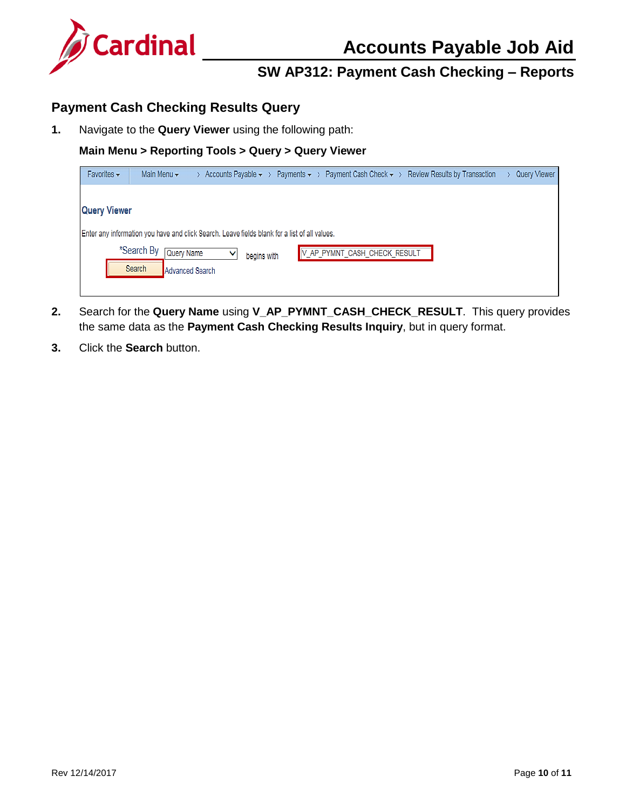

#### <span id="page-9-0"></span>**Payment Cash Checking Results Query**

**1.** Navigate to the **Query Viewer** using the following path:

#### **Main Menu > Reporting Tools > Query > Query Viewer**

| Favorites $\star$   | Main Menu $\star$                                                                             | > Accounts Payable $\star$ > Payments $\star$ > |             |                              | Payment Cash Check $\star$ > Review Results by Transaction | Query Viewer |
|---------------------|-----------------------------------------------------------------------------------------------|-------------------------------------------------|-------------|------------------------------|------------------------------------------------------------|--------------|
|                     |                                                                                               |                                                 |             |                              |                                                            |              |
| <b>Query Viewer</b> |                                                                                               |                                                 |             |                              |                                                            |              |
|                     | Enter any information you have and click Search. Leave fields blank for a list of all values. |                                                 |             |                              |                                                            |              |
|                     | *Search By<br>Query Name                                                                      | v                                               | begins with | V_AP_PYMNT_CASH_CHECK_RESULT |                                                            |              |
|                     | Search                                                                                        | Advanced Search                                 |             |                              |                                                            |              |
|                     |                                                                                               |                                                 |             |                              |                                                            |              |

- **2.** Search for the **Query Name** using **V\_AP\_PYMNT\_CASH\_CHECK\_RESULT**. This query provides the same data as the **Payment Cash Checking Results Inquiry**, but in query format.
- **3.** Click the **Search** button.